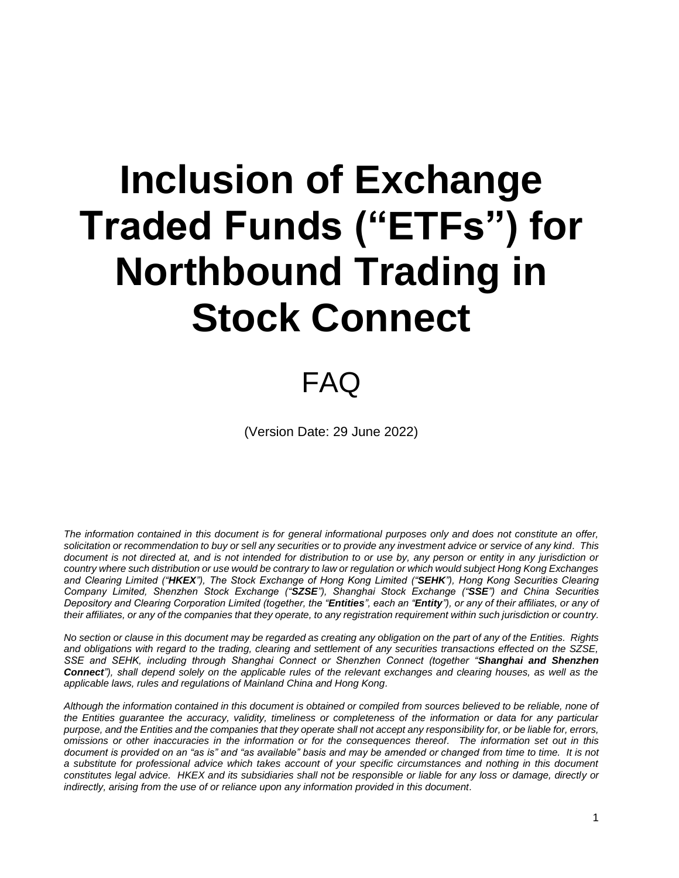# **Inclusion of Exchange Traded Funds ("ETFs") for Northbound Trading in Stock Connect**

# FAQ

(Version Date: 29 June 2022)

*The information contained in this document is for general informational purposes only and does not constitute an offer, solicitation or recommendation to buy or sell any securities or to provide any investment advice or service of any kind. This document is not directed at, and is not intended for distribution to or use by, any person or entity in any jurisdiction or country where such distribution or use would be contrary to law or regulation or which would subject Hong Kong Exchanges and Clearing Limited ("HKEX"), The Stock Exchange of Hong Kong Limited ("SEHK"), Hong Kong Securities Clearing Company Limited, Shenzhen Stock Exchange ("SZSE"), Shanghai Stock Exchange ("SSE") and China Securities Depository and Clearing Corporation Limited (together, the "Entities", each an "Entity"), or any of their affiliates, or any of their affiliates, or any of the companies that they operate, to any registration requirement within such jurisdiction or country.* 

*No section or clause in this document may be regarded as creating any obligation on the part of any of the Entities. Rights and obligations with regard to the trading, clearing and settlement of any securities transactions effected on the SZSE, SSE and SEHK, including through Shanghai Connect or Shenzhen Connect (together "Shanghai and Shenzhen Connect"), shall depend solely on the applicable rules of the relevant exchanges and clearing houses, as well as the applicable laws, rules and regulations of Mainland China and Hong Kong.* 

*Although the information contained in this document is obtained or compiled from sources believed to be reliable, none of the Entities guarantee the accuracy, validity, timeliness or completeness of the information or data for any particular purpose, and the Entities and the companies that they operate shall not accept any responsibility for, or be liable for, errors, omissions or other inaccuracies in the information or for the consequences thereof. The information set out in this document is provided on an "as is" and "as available" basis and may be amended or changed from time to time. It is not a substitute for professional advice which takes account of your specific circumstances and nothing in this document constitutes legal advice. HKEX and its subsidiaries shall not be responsible or liable for any loss or damage, directly or indirectly, arising from the use of or reliance upon any information provided in this document.*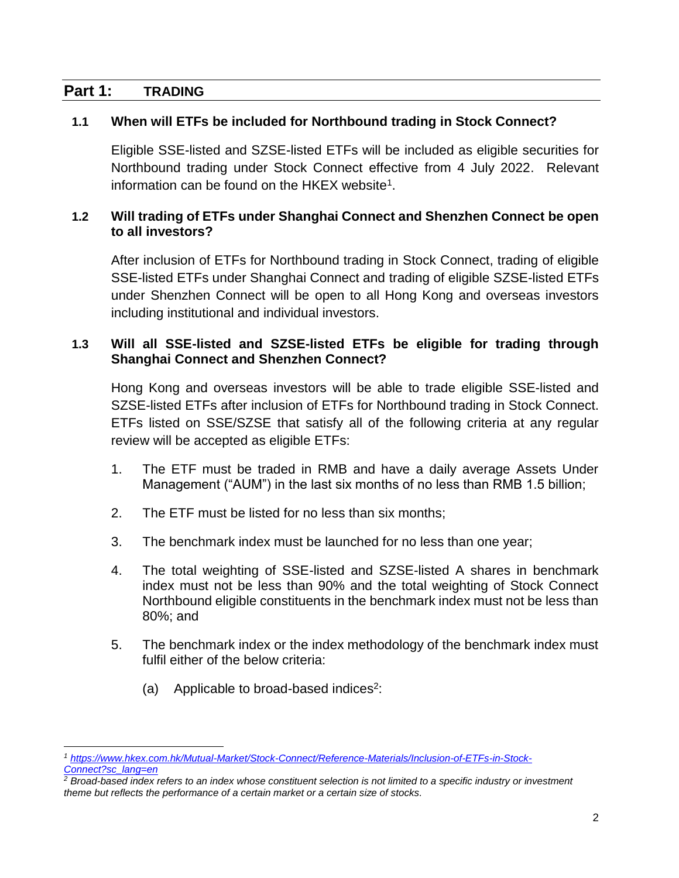# **Part 1: TRADING**

# **1.1 When will ETFs be included for Northbound trading in Stock Connect?**

Eligible SSE-listed and SZSE-listed ETFs will be included as eligible securities for Northbound trading under Stock Connect effective from 4 July 2022. Relevant information can be found on the HKEX website<sup>1</sup>.

#### **1.2 Will trading of ETFs under Shanghai Connect and Shenzhen Connect be open to all investors?**

After inclusion of ETFs for Northbound trading in Stock Connect, trading of eligible SSE-listed ETFs under Shanghai Connect and trading of eligible SZSE-listed ETFs under Shenzhen Connect will be open to all Hong Kong and overseas investors including institutional and individual investors.

# <span id="page-1-0"></span>**1.3 Will all SSE-listed and SZSE-listed ETFs be eligible for trading through Shanghai Connect and Shenzhen Connect?**

Hong Kong and overseas investors will be able to trade eligible SSE-listed and SZSE-listed ETFs after inclusion of ETFs for Northbound trading in Stock Connect. ETFs listed on SSE/SZSE that satisfy all of the following criteria at any regular review will be accepted as eligible ETFs:

- 1. The ETF must be traded in RMB and have a daily average Assets Under Management ("AUM") in the last six months of no less than RMB 1.5 billion;
- 2. The ETF must be listed for no less than six months;
- 3. The benchmark index must be launched for no less than one year;
- 4. The total weighting of SSE-listed and SZSE-listed A shares in benchmark index must not be less than 90% and the total weighting of Stock Connect Northbound eligible constituents in the benchmark index must not be less than 80%; and
- 5. The benchmark index or the index methodology of the benchmark index must fulfil either of the below criteria:
	- (a) Applicable to broad-based indices<sup>2</sup>:

 $\overline{a}$ *<sup>1</sup> [https://www.hkex.com.hk/Mutual-Market/Stock-Connect/Reference-Materials/Inclusion-of-ETFs-in-Stock-](https://www.hkex.com.hk/Mutual-Market/Stock-Connect/Reference-Materials/Inclusion-of-ETFs-in-Stock-Connect?sc_lang=en)[Connect?sc\\_lang=en](https://www.hkex.com.hk/Mutual-Market/Stock-Connect/Reference-Materials/Inclusion-of-ETFs-in-Stock-Connect?sc_lang=en)*

*<sup>2</sup> Broad-based index refers to an index whose constituent selection is not limited to a specific industry or investment theme but reflects the performance of a certain market or a certain size of stocks.*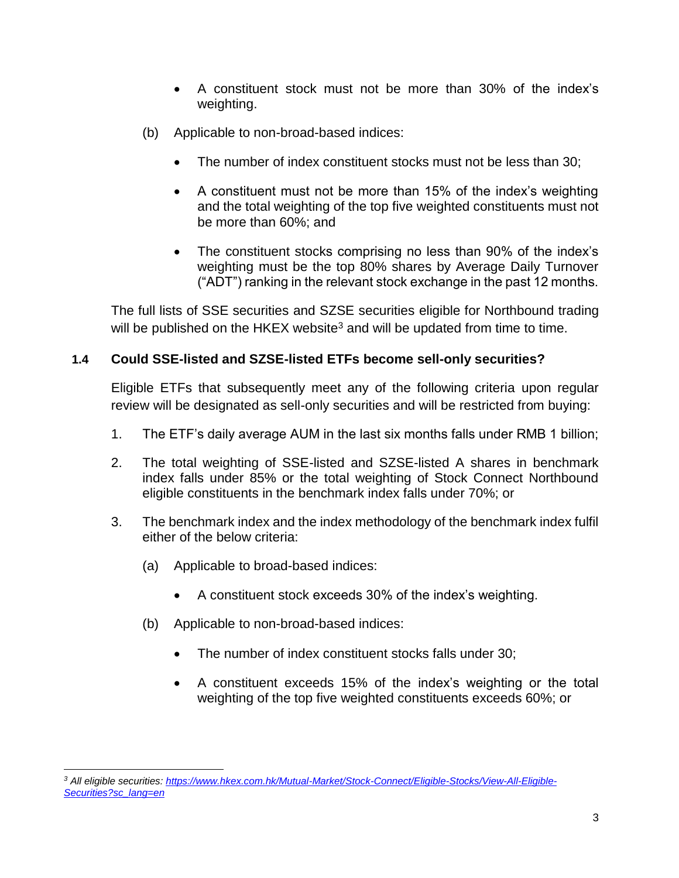- A constituent stock must not be more than 30% of the index's weighting.
- (b) Applicable to non-broad-based indices:
	- The number of index constituent stocks must not be less than 30;
	- A constituent must not be more than 15% of the index's weighting and the total weighting of the top five weighted constituents must not be more than 60%; and
	- The constituent stocks comprising no less than 90% of the index's weighting must be the top 80% shares by Average Daily Turnover ("ADT") ranking in the relevant stock exchange in the past 12 months.

The full lists of SSE securities and SZSE securities eligible for Northbound trading will be published on the HKEX website<sup>3</sup> and will be updated from time to time.

# **1.4 Could SSE-listed and SZSE-listed ETFs become sell-only securities?**

Eligible ETFs that subsequently meet any of the following criteria upon regular review will be designated as sell-only securities and will be restricted from buying:

- 1. The ETF's daily average AUM in the last six months falls under RMB 1 billion;
- 2. The total weighting of SSE-listed and SZSE-listed A shares in benchmark index falls under 85% or the total weighting of Stock Connect Northbound eligible constituents in the benchmark index falls under 70%; or
- 3. The benchmark index and the index methodology of the benchmark index fulfil either of the below criteria:
	- (a) Applicable to broad-based indices:
		- A constituent stock exceeds 30% of the index's weighting.
	- (b) Applicable to non-broad-based indices:
		- The number of index constituent stocks falls under 30;
		- A constituent exceeds 15% of the index's weighting or the total weighting of the top five weighted constituents exceeds 60%; or

 $\overline{a}$ *<sup>3</sup> All eligible securities[: https://www.hkex.com.hk/Mutual-Market/Stock-Connect/Eligible-Stocks/View-All-Eligible-](https://www.hkex.com.hk/Mutual-Market/Stock-Connect/Eligible-Stocks/View-All-Eligible-Securities?sc_lang=en)[Securities?sc\\_lang=en](https://www.hkex.com.hk/Mutual-Market/Stock-Connect/Eligible-Stocks/View-All-Eligible-Securities?sc_lang=en)*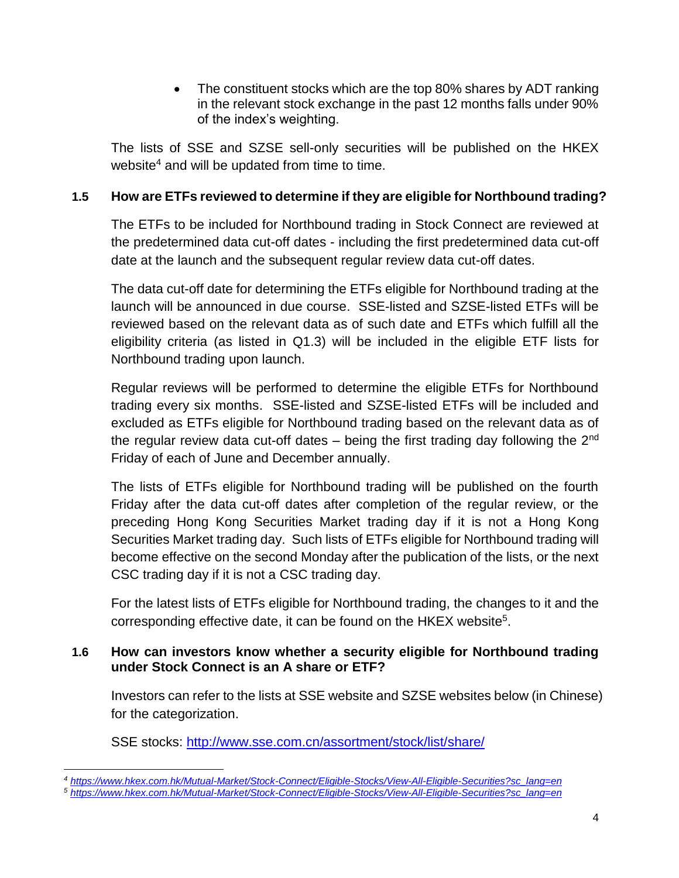• The constituent stocks which are the top 80% shares by ADT ranking in the relevant stock exchange in the past 12 months falls under 90% of the index's weighting.

The lists of SSE and SZSE sell-only securities will be published on the HKEX website<sup>4</sup> and will be updated from time to time.

# **1.5 How are ETFs reviewed to determine if they are eligible for Northbound trading?**

The ETFs to be included for Northbound trading in Stock Connect are reviewed at the predetermined data cut-off dates - including the first predetermined data cut-off date at the launch and the subsequent regular review data cut-off dates.

The data cut-off date for determining the ETFs eligible for Northbound trading at the launch will be announced in due course. SSE-listed and SZSE-listed ETFs will be reviewed based on the relevant data as of such date and ETFs which fulfill all the eligibility criteria (as listed in [Q1.3\)](#page-1-0) will be included in the eligible ETF lists for Northbound trading upon launch.

Regular reviews will be performed to determine the eligible ETFs for Northbound trading every six months. SSE-listed and SZSE-listed ETFs will be included and excluded as ETFs eligible for Northbound trading based on the relevant data as of the regular review data cut-off dates  $-$  being the first trading day following the  $2<sup>nd</sup>$ Friday of each of June and December annually.

The lists of ETFs eligible for Northbound trading will be published on the fourth Friday after the data cut-off dates after completion of the regular review, or the preceding Hong Kong Securities Market trading day if it is not a Hong Kong Securities Market trading day. Such lists of ETFs eligible for Northbound trading will become effective on the second Monday after the publication of the lists, or the next CSC trading day if it is not a CSC trading day.

For the latest lists of ETFs eligible for Northbound trading, the changes to it and the corresponding effective date, it can be found on the HKEX website<sup>5</sup>.

#### **1.6 How can investors know whether a security eligible for Northbound trading under Stock Connect is an A share or ETF?**

Investors can refer to the lists at SSE website and SZSE websites below (in Chinese) for the categorization.

SSE stocks:<http://www.sse.com.cn/assortment/stock/list/share/>

 $\overline{a}$ *<sup>4</sup> [https://www.hkex.com.hk/Mutual-Market/Stock-Connect/Eligible-Stocks/View-All-Eligible-Securities?sc\\_lang=en](https://www.hkex.com.hk/Mutual-Market/Stock-Connect/Eligible-Stocks/View-All-Eligible-Securities?sc_lang=en)*

*<sup>5</sup> [https://www.hkex.com.hk/Mutual-Market/Stock-Connect/Eligible-Stocks/View-All-Eligible-Securities?sc\\_lang=en](https://www.hkex.com.hk/Mutual-Market/Stock-Connect/Eligible-Stocks/View-All-Eligible-Securities?sc_lang=en)*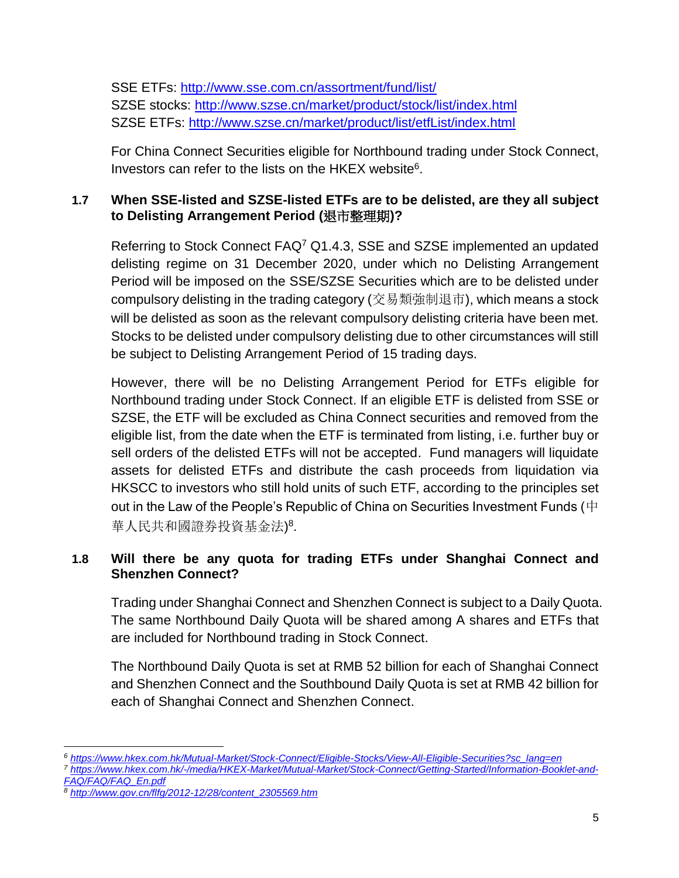SSE ETFs:<http://www.sse.com.cn/assortment/fund/list/> SZSE stocks:<http://www.szse.cn/market/product/stock/list/index.html> SZSE ETFs:<http://www.szse.cn/market/product/list/etfList/index.html>

For China Connect Securities eligible for Northbound trading under Stock Connect, Investors can refer to the lists on the HKEX website<sup>6</sup>.

# **1.7 When SSE-listed and SZSE-listed ETFs are to be delisted, are they all subject to Delisting Arrangement Period (**退市整理期**)?**

Referring to Stock Connect FAQ<sup>7</sup> Q1.4.3, SSE and SZSE implemented an updated delisting regime on 31 December 2020, under which no Delisting Arrangement Period will be imposed on the SSE/SZSE Securities which are to be delisted under compulsory delisting in the trading category (交易類強制退市), which means a stock will be delisted as soon as the relevant compulsory delisting criteria have been met. Stocks to be delisted under compulsory delisting due to other circumstances will still be subject to Delisting Arrangement Period of 15 trading days.

However, there will be no Delisting Arrangement Period for ETFs eligible for Northbound trading under Stock Connect. If an eligible ETF is delisted from SSE or SZSE, the ETF will be excluded as China Connect securities and removed from the eligible list, from the date when the ETF is terminated from listing, i.e. further buy or sell orders of the delisted ETFs will not be accepted. Fund managers will liquidate assets for delisted ETFs and distribute the cash proceeds from liquidation via HKSCC to investors who still hold units of such ETF, according to the principles set out in the Law of the People's Republic of China on Securities Investment Funds ( $\rm \dot{P}$ 華人民共和國證券投資基金法) 8 .

# **1.8 Will there be any quota for trading ETFs under Shanghai Connect and Shenzhen Connect?**

Trading under Shanghai Connect and Shenzhen Connect is subject to a Daily Quota. The same Northbound Daily Quota will be shared among A shares and ETFs that are included for Northbound trading in Stock Connect.

The Northbound Daily Quota is set at RMB 52 billion for each of Shanghai Connect and Shenzhen Connect and the Southbound Daily Quota is set at RMB 42 billion for each of Shanghai Connect and Shenzhen Connect.

 $\overline{a}$ *<sup>6</sup> [https://www.hkex.com.hk/Mutual-Market/Stock-Connect/Eligible-Stocks/View-All-Eligible-Securities?sc\\_lang=en](https://www.hkex.com.hk/Mutual-Market/Stock-Connect/Eligible-Stocks/View-All-Eligible-Securities?sc_lang=en)*

*<sup>7</sup> [https://www.hkex.com.hk/-/media/HKEX-Market/Mutual-Market/Stock-Connect/Getting-Started/Information-Booklet-and-](https://www.hkex.com.hk/-/media/HKEX-Market/Mutual-Market/Stock-Connect/Getting-Started/Information-Booklet-and-FAQ/FAQ/FAQ_En.pdf)[FAQ/FAQ/FAQ\\_En.pdf](https://www.hkex.com.hk/-/media/HKEX-Market/Mutual-Market/Stock-Connect/Getting-Started/Information-Booklet-and-FAQ/FAQ/FAQ_En.pdf)*

*<sup>8</sup> http://www.gov.cn/flfg/2012-12/28/content\_2305569.htm*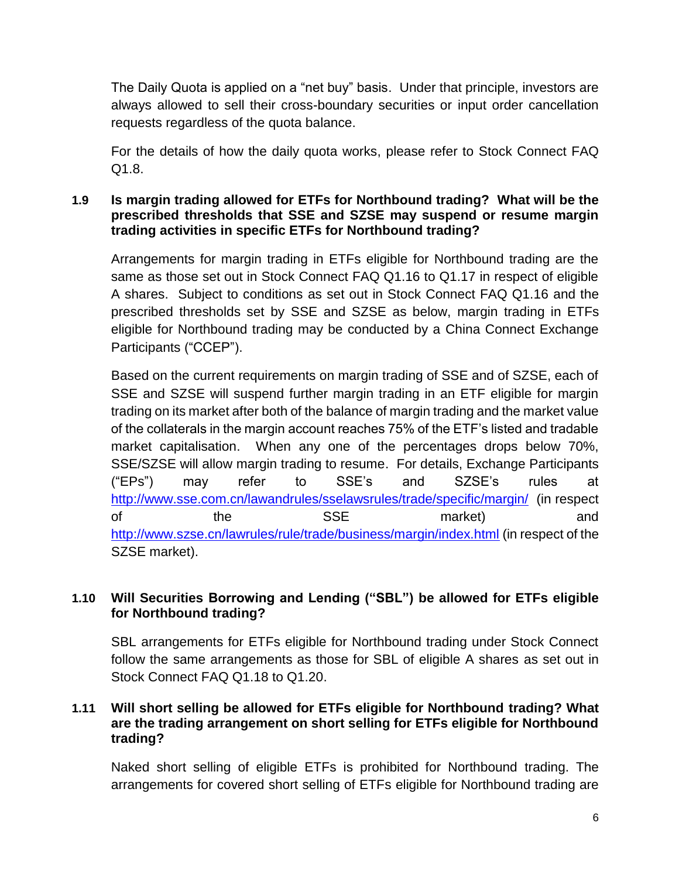The Daily Quota is applied on a "net buy" basis. Under that principle, investors are always allowed to sell their cross-boundary securities or input order cancellation requests regardless of the quota balance.

For the details of how the daily quota works, please refer to Stock Connect FAQ Q1.8.

#### **1.9 Is margin trading allowed for ETFs for Northbound trading? What will be the prescribed thresholds that SSE and SZSE may suspend or resume margin trading activities in specific ETFs for Northbound trading?**

Arrangements for margin trading in ETFs eligible for Northbound trading are the same as those set out in Stock Connect FAQ Q1.16 to Q1.17 in respect of eligible A shares. Subject to conditions as set out in Stock Connect FAQ Q1.16 and the prescribed thresholds set by SSE and SZSE as below, margin trading in ETFs eligible for Northbound trading may be conducted by a China Connect Exchange Participants ("CCEP").

Based on the current requirements on margin trading of SSE and of SZSE, each of SSE and SZSE will suspend further margin trading in an ETF eligible for margin trading on its market after both of the balance of margin trading and the market value of the collaterals in the margin account reaches 75% of the ETF's listed and tradable market capitalisation. When any one of the percentages drops below 70%, SSE/SZSE will allow margin trading to resume. For details, Exchange Participants ("EPs") may refer to SSE's and SZSE's rules at <http://www.sse.com.cn/lawandrules/sselawsrules/trade/specific/margin/>(in respect of the SSE market) and <http://www.szse.cn/lawrules/rule/trade/business/margin/index.html> (in respect of the SZSE market).

# **1.10 Will Securities Borrowing and Lending ("SBL") be allowed for ETFs eligible for Northbound trading?**

SBL arrangements for ETFs eligible for Northbound trading under Stock Connect follow the same arrangements as those for SBL of eligible A shares as set out in Stock Connect FAQ Q1.18 to Q1.20.

# **1.11 Will short selling be allowed for ETFs eligible for Northbound trading? What are the trading arrangement on short selling for ETFs eligible for Northbound trading?**

Naked short selling of eligible ETFs is prohibited for Northbound trading. The arrangements for covered short selling of ETFs eligible for Northbound trading are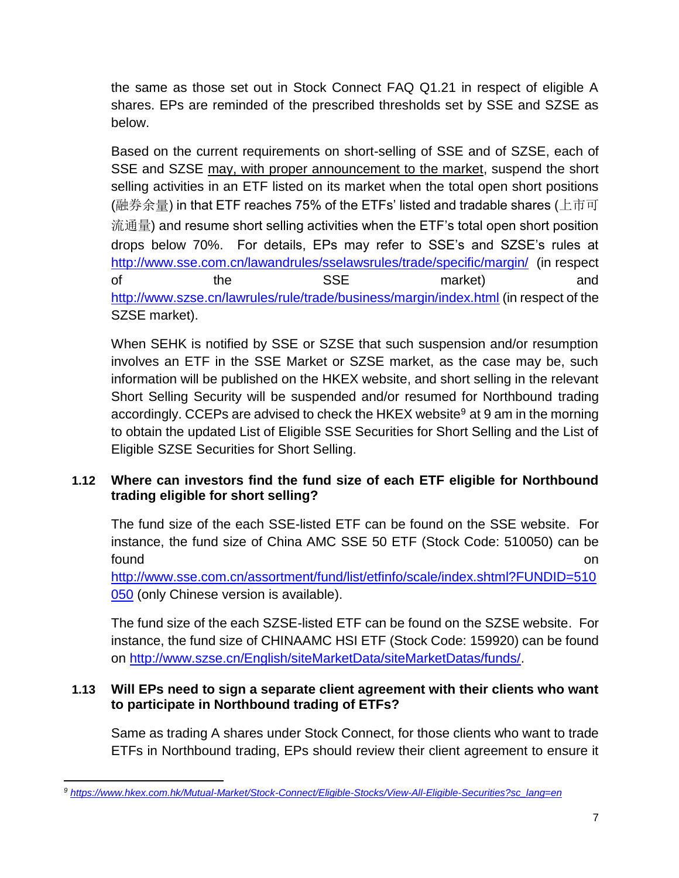the same as those set out in Stock Connect FAQ Q1.21 in respect of eligible A shares. EPs are reminded of the prescribed thresholds set by SSE and SZSE as below.

Based on the current requirements on short-selling of SSE and of SZSE, each of SSE and SZSE may, with proper announcement to the market, suspend the short selling activities in an ETF listed on its market when the total open short positions (融券余量) in that ETF reaches 75% of the ETFs' listed and tradable shares (上市可 流通量) and resume short selling activities when the ETF's total open short position drops below 70%. For details, EPs may refer to SSE's and SZSE's rules at <http://www.sse.com.cn/lawandrules/sselawsrules/trade/specific/margin/>(in respect of the SSE market) and <http://www.szse.cn/lawrules/rule/trade/business/margin/index.html> (in respect of the SZSE market).

When SEHK is notified by SSE or SZSE that such suspension and/or resumption involves an ETF in the SSE Market or SZSE market, as the case may be, such information will be published on the HKEX website, and short selling in the relevant Short Selling Security will be suspended and/or resumed for Northbound trading accordingly. CCEPs are advised to check the HKEX website<sup>9</sup> at 9 am in the morning to obtain the updated List of Eligible SSE Securities for Short Selling and the List of Eligible SZSE Securities for Short Selling.

# **1.12 Where can investors find the fund size of each ETF eligible for Northbound trading eligible for short selling?**

The fund size of the each SSE-listed ETF can be found on the SSE website. For instance, the fund size of China AMC SSE 50 ETF (Stock Code: 510050) can be found the contract of the contract of the contract of the contract of the contract of the contract of the contract of the contract of the contract of the contract of the contract of the contract of the contract of the cont

[http://www.sse.com.cn/assortment/fund/list/etfinfo/scale/index.shtml?FUNDID=510](http://www.sse.com.cn/assortment/fund/list/etfinfo/scale/index.shtml?FUNDID=510050) [050](http://www.sse.com.cn/assortment/fund/list/etfinfo/scale/index.shtml?FUNDID=510050) (only Chinese version is available).

The fund size of the each SZSE-listed ETF can be found on the SZSE website. For instance, the fund size of CHINAAMC HSI ETF (Stock Code: 159920) can be found on [http://www.szse.cn/English/siteMarketData/siteMarketDatas/funds/.](http://www.szse.cn/English/siteMarketData/siteMarketDatas/funds/)

#### **1.13 Will EPs need to sign a separate client agreement with their clients who want to participate in Northbound trading of ETFs?**

Same as trading A shares under Stock Connect, for those clients who want to trade ETFs in Northbound trading, EPs should review their client agreement to ensure it

 $\overline{a}$ *<sup>9</sup> https://www.hkex.com.hk/Mutual-Market/Stock-Connect/Eligible-Stocks/View-All-Eligible-Securities?sc\_lang=en*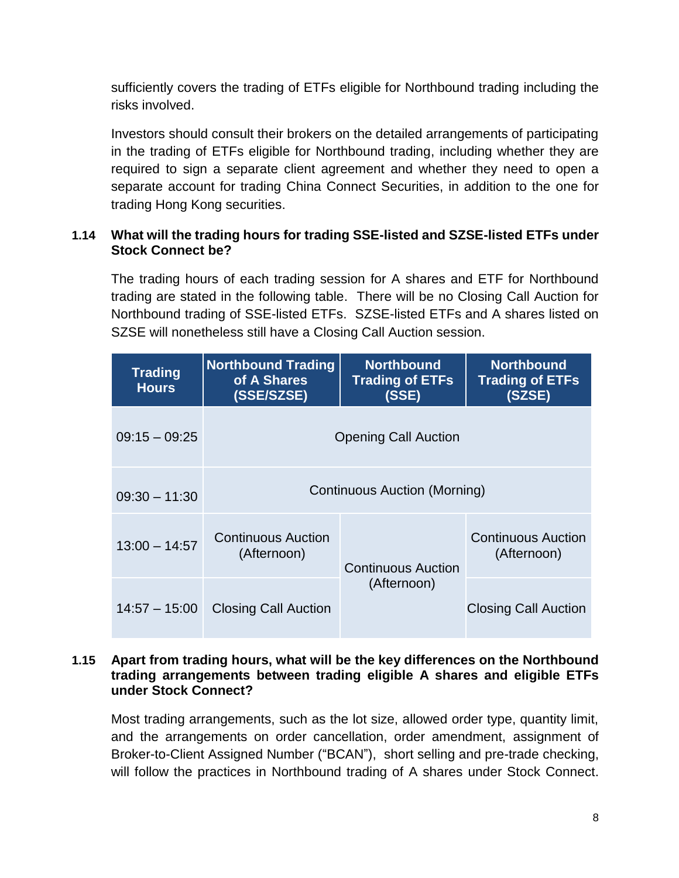sufficiently covers the trading of ETFs eligible for Northbound trading including the risks involved.

Investors should consult their brokers on the detailed arrangements of participating in the trading of ETFs eligible for Northbound trading, including whether they are required to sign a separate client agreement and whether they need to open a separate account for trading China Connect Securities, in addition to the one for trading Hong Kong securities.

# <span id="page-7-0"></span>**1.14 What will the trading hours for trading SSE-listed and SZSE-listed ETFs under Stock Connect be?**

The trading hours of each trading session for A shares and ETF for Northbound trading are stated in the following table. There will be no Closing Call Auction for Northbound trading of SSE-listed ETFs. SZSE-listed ETFs and A shares listed on SZSE will nonetheless still have a Closing Call Auction session.

| <b>Trading</b><br><b>Hours</b> | <b>Northbound Trading</b><br>of A Shares<br>(SSE/SZSE) | <b>Northbound</b><br><b>Trading of ETFs</b><br>(SSE) | <b>Northbound</b><br><b>Trading of ETFs</b><br>(SZSE) |  |
|--------------------------------|--------------------------------------------------------|------------------------------------------------------|-------------------------------------------------------|--|
| $09:15 - 09:25$                | <b>Opening Call Auction</b>                            |                                                      |                                                       |  |
| $09:30 - 11:30$                | Continuous Auction (Morning)                           |                                                      |                                                       |  |
| $13:00 - 14:57$                | <b>Continuous Auction</b><br>(Afternoon)               | Continuous Auction<br>(Afternoon)                    | Continuous Auction<br>(Afternoon)                     |  |
|                                | 14:57 - 15:00 Closing Call Auction                     |                                                      | <b>Closing Call Auction</b>                           |  |

#### **1.15 Apart from trading hours, what will be the key differences on the Northbound trading arrangements between trading eligible A shares and eligible ETFs under Stock Connect?**

Most trading arrangements, such as the lot size, allowed order type, quantity limit, and the arrangements on order cancellation, order amendment, assignment of Broker-to-Client Assigned Number ("BCAN"), short selling and pre-trade checking, will follow the practices in Northbound trading of A shares under Stock Connect.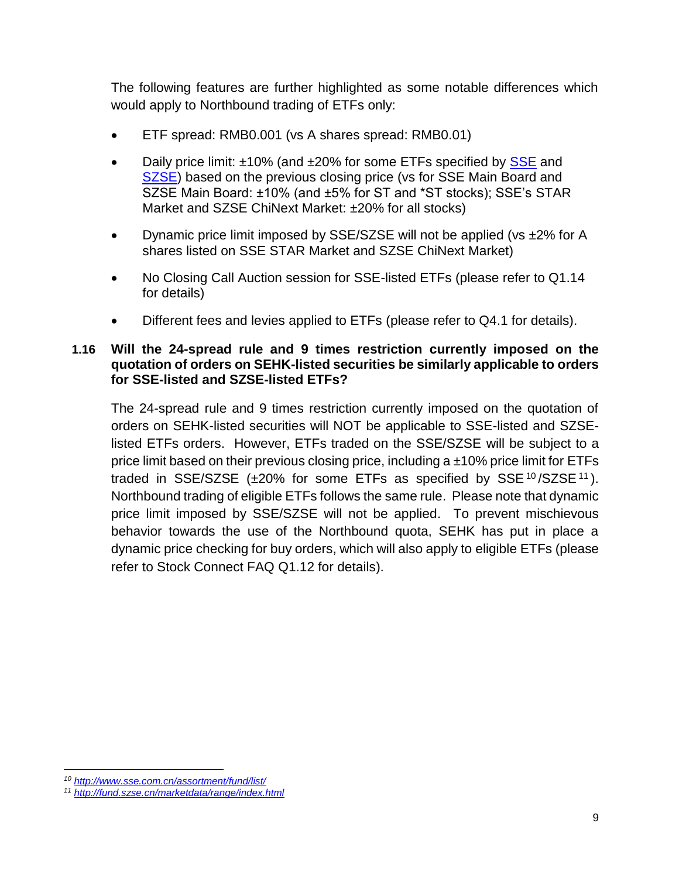The following features are further highlighted as some notable differences which would apply to Northbound trading of ETFs only:

- ETF spread: RMB0.001 (vs A shares spread: RMB0.01)
- Daily price limit: ±10% (and ±20% for some ETFs specified by [SSE](http://www.sse.com.cn/assortment/fund/list/) and [SZSE\)](http://fund.szse.cn/marketdata/range/index.html) based on the previous closing price (vs for SSE Main Board and SZSE Main Board: ±10% (and ±5% for ST and \*ST stocks); SSE's STAR Market and SZSE ChiNext Market: ±20% for all stocks)
- Dynamic price limit imposed by SSE/SZSE will not be applied (vs  $\pm$ 2% for A shares listed on SSE STAR Market and SZSE ChiNext Market)
- No Closing Call Auction session for SSE-listed ETFs (please refer to [Q1.14](#page-7-0) for details)
- Different fees and levies applied to ETFs (please refer to Q4.1 for details).

#### **1.16 Will the 24-spread rule and 9 times restriction currently imposed on the quotation of orders on SEHK-listed securities be similarly applicable to orders for SSE-listed and SZSE-listed ETFs?**

The 24-spread rule and 9 times restriction currently imposed on the quotation of orders on SEHK-listed securities will NOT be applicable to SSE-listed and SZSElisted ETFs orders. However, ETFs traded on the SSE/SZSE will be subject to a price limit based on their previous closing price, including a  $\pm 10\%$  price limit for ETFs traded in SSE/SZSE  $(\pm 20\%$  for some ETFs as specified by SSE  $10$ /SZSE  $11$ ). Northbound trading of eligible ETFs follows the same rule. Please note that dynamic price limit imposed by SSE/SZSE will not be applied. To prevent mischievous behavior towards the use of the Northbound quota, SEHK has put in place a dynamic price checking for buy orders, which will also apply to eligible ETFs (please refer to Stock Connect FAQ Q1.12 for details).

 $\overline{a}$ 

*<sup>10</sup> <http://www.sse.com.cn/assortment/fund/list/>*

*<sup>11</sup> <http://fund.szse.cn/marketdata/range/index.html>*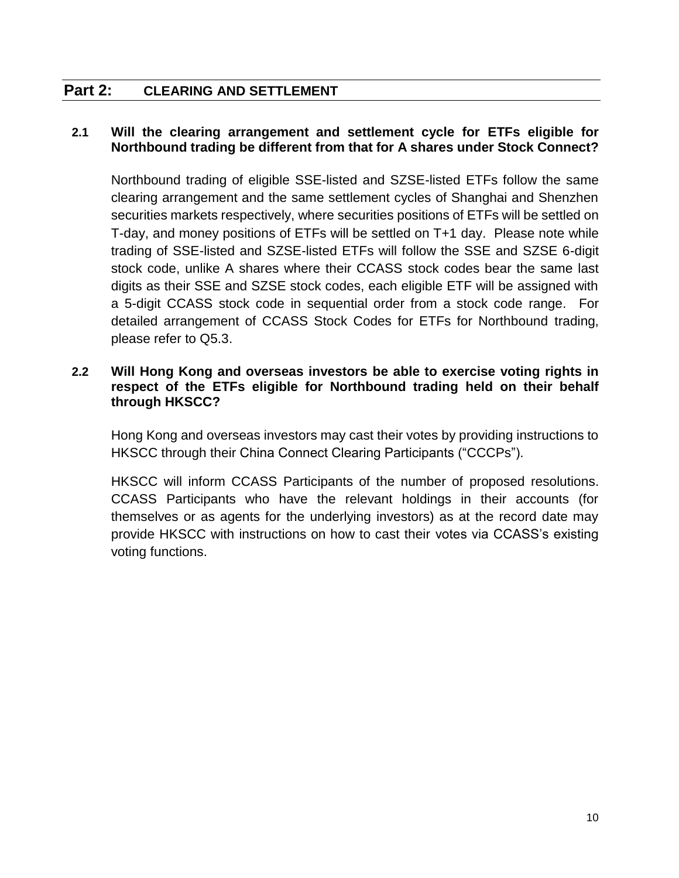# **Part 2: CLEARING AND SETTLEMENT**

#### **2.1 Will the clearing arrangement and settlement cycle for ETFs eligible for Northbound trading be different from that for A shares under Stock Connect?**

Northbound trading of eligible SSE-listed and SZSE-listed ETFs follow the same clearing arrangement and the same settlement cycles of Shanghai and Shenzhen securities markets respectively, where securities positions of ETFs will be settled on T-day, and money positions of ETFs will be settled on T+1 day. Please note while trading of SSE-listed and SZSE-listed ETFs will follow the SSE and SZSE 6-digit stock code, unlike A shares where their CCASS stock codes bear the same last digits as their SSE and SZSE stock codes, each eligible ETF will be assigned with a 5-digit CCASS stock code in sequential order from a stock code range. For detailed arrangement of CCASS Stock Codes for ETFs for Northbound trading, please refer to [Q5.3.](#page-16-0)

#### **2.2 Will Hong Kong and overseas investors be able to exercise voting rights in respect of the ETFs eligible for Northbound trading held on their behalf through HKSCC?**

Hong Kong and overseas investors may cast their votes by providing instructions to HKSCC through their China Connect Clearing Participants ("CCCPs").

HKSCC will inform CCASS Participants of the number of proposed resolutions. CCASS Participants who have the relevant holdings in their accounts (for themselves or as agents for the underlying investors) as at the record date may provide HKSCC with instructions on how to cast their votes via CCASS's existing voting functions.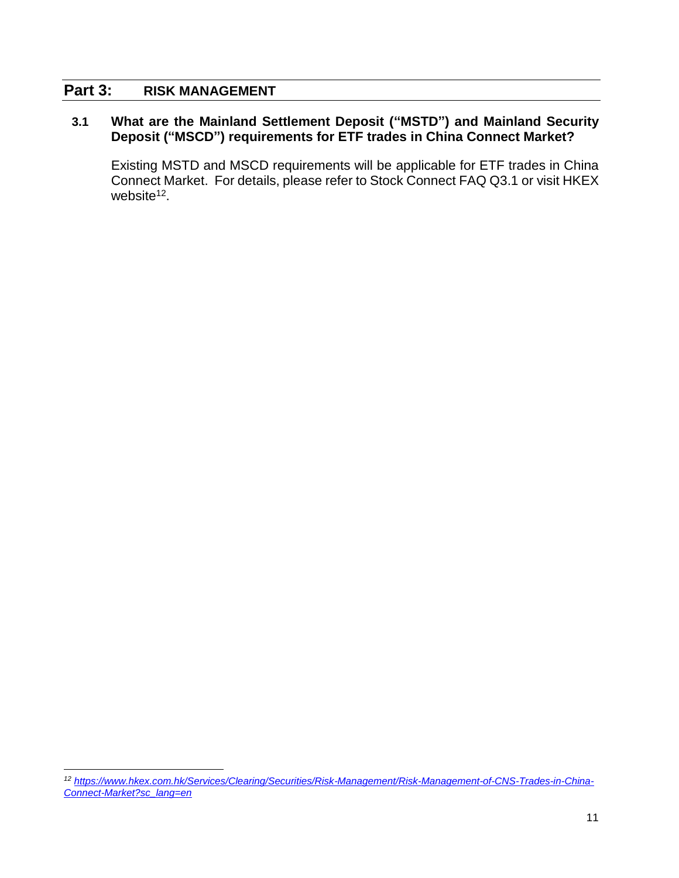#### **Part 3: RISK MANAGEMENT**

 $\overline{a}$ 

#### **3.1 What are the Mainland Settlement Deposit ("MSTD") and Mainland Security Deposit ("MSCD") requirements for ETF trades in China Connect Market?**

Existing MSTD and MSCD requirements will be applicable for ETF trades in China Connect Market. For details, please refer to Stock Connect FAQ Q3.1 or visit HKEX website<sup>12</sup>.

*<sup>12</sup> [https://www.hkex.com.hk/Services/Clearing/Securities/Risk-Management/Risk-Management-of-CNS-Trades-in-China-](https://www.hkex.com.hk/Services/Clearing/Securities/Risk-Management/Risk-Management-of-CNS-Trades-in-China-Connect-Market?sc_lang=en)[Connect-Market?sc\\_lang=en](https://www.hkex.com.hk/Services/Clearing/Securities/Risk-Management/Risk-Management-of-CNS-Trades-in-China-Connect-Market?sc_lang=en)*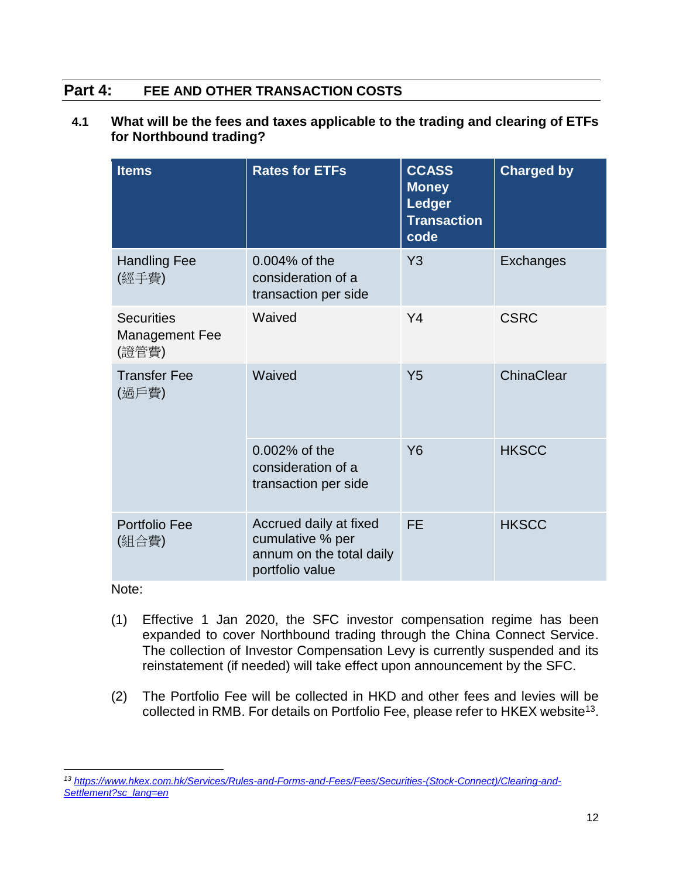# **Part 4: FEE AND OTHER TRANSACTION COSTS**

#### **4.1 What will be the fees and taxes applicable to the trading and clearing of ETFs for Northbound trading?**

| <b>Items</b>                                        | <b>Rates for ETFs</b>                                                                     | <b>CCASS</b><br><b>Money</b><br><b>Ledger</b><br><b>Transaction</b><br>code | <b>Charged by</b> |
|-----------------------------------------------------|-------------------------------------------------------------------------------------------|-----------------------------------------------------------------------------|-------------------|
| <b>Handling Fee</b><br>(經手費)                        | $0.004\%$ of the<br>consideration of a<br>transaction per side                            | Y3                                                                          | Exchanges         |
| <b>Securities</b><br><b>Management Fee</b><br>(證管費) | Waived                                                                                    | Y <sub>4</sub>                                                              | <b>CSRC</b>       |
| <b>Transfer Fee</b><br>(過戶費)                        | Waived                                                                                    | Y <sub>5</sub>                                                              | ChinaClear        |
|                                                     | $0.002\%$ of the<br>consideration of a<br>transaction per side                            | <b>Y6</b>                                                                   | <b>HKSCC</b>      |
| Portfolio Fee<br>(組合費)                              | Accrued daily at fixed<br>cumulative % per<br>annum on the total daily<br>portfolio value | <b>FE</b>                                                                   | <b>HKSCC</b>      |

Note:

- (1) Effective 1 Jan 2020, the SFC investor compensation regime has been expanded to cover Northbound trading through the China Connect Service. The collection of Investor Compensation Levy is currently suspended and its reinstatement (if needed) will take effect upon announcement by the SFC.
- (2) The Portfolio Fee will be collected in HKD and other fees and levies will be collected in RMB. For details on Portfolio Fee, please refer to HKEX website<sup>13</sup>.

 $\overline{a}$ *<sup>13</sup> [https://www.hkex.com.hk/Services/Rules-and-Forms-and-Fees/Fees/Securities-\(Stock-Connect\)/Clearing-and-](https://www.hkex.com.hk/Services/Rules-and-Forms-and-Fees/Fees/Securities-(Stock-Connect)/Clearing-and-Settlement?sc_lang=en)[Settlement?sc\\_lang=en](https://www.hkex.com.hk/Services/Rules-and-Forms-and-Fees/Fees/Securities-(Stock-Connect)/Clearing-and-Settlement?sc_lang=en)*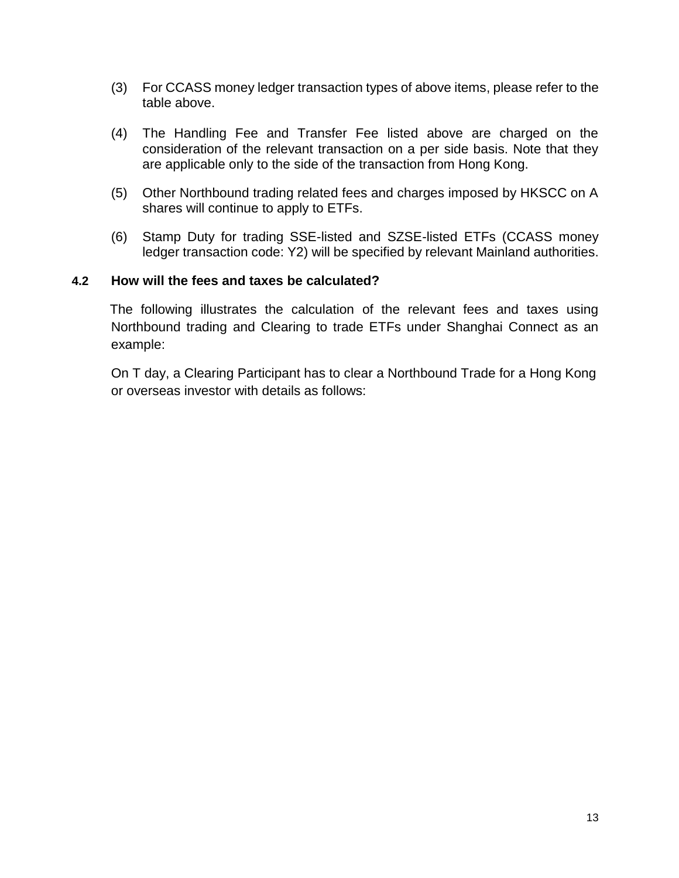- (3) For CCASS money ledger transaction types of above items, please refer to the table above.
- (4) The Handling Fee and Transfer Fee listed above are charged on the consideration of the relevant transaction on a per side basis. Note that they are applicable only to the side of the transaction from Hong Kong.
- (5) Other Northbound trading related fees and charges imposed by HKSCC on A shares will continue to apply to ETFs.
- (6) Stamp Duty for trading SSE-listed and SZSE-listed ETFs (CCASS money ledger transaction code: Y2) will be specified by relevant Mainland authorities.

#### **4.2 How will the fees and taxes be calculated?**

The following illustrates the calculation of the relevant fees and taxes using Northbound trading and Clearing to trade ETFs under Shanghai Connect as an example:

On T day, a Clearing Participant has to clear a Northbound Trade for a Hong Kong or overseas investor with details as follows: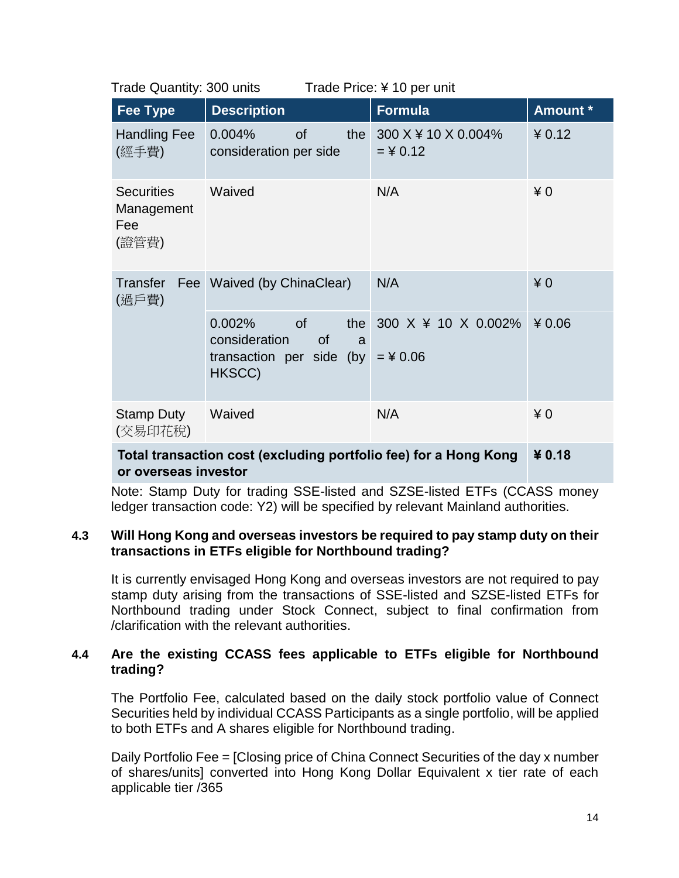| <b>Fee Type</b>                                                  | <b>Description</b>                                                                              | <b>Formula</b>                    | Amount * |
|------------------------------------------------------------------|-------------------------------------------------------------------------------------------------|-----------------------------------|----------|
| <b>Handling Fee</b><br>(經手費)                                     | 0.004%<br><b>of</b><br>the<br>consideration per side                                            | 300 X ¥ 10 X 0.004%<br>$=$ ¥ 0.12 | 40.12    |
| <b>Securities</b><br>Management<br>Fee<br>(證管費)                  | Waived                                                                                          | N/A                               | $*0$     |
| Transfer<br>(過戶費)                                                | Fee Waived (by ChinaClear)                                                                      | N/A                               | $*0$     |
|                                                                  | of<br>$0.002\%$<br>the<br>consideration<br><b>of</b><br>a<br>transaction per side (by<br>HKSCC) | 300 X ¥ 10 X 0.002%<br>$=$ ¥ 0.06 | ¥0.06    |
| <b>Stamp Duty</b><br>(交易印花稅)                                     | Waived                                                                                          | N/A                               | $*0$     |
| Total transaction cost (excluding portfolio fee) for a Hong Kong | ¥ 0.18                                                                                          |                                   |          |

Trade Quantity: 300 units Trade Price: ¥ 10 per unit

**or overseas investor**

Note: Stamp Duty for trading SSE-listed and SZSE-listed ETFs (CCASS money ledger transaction code: Y2) will be specified by relevant Mainland authorities.

#### **4.3 Will Hong Kong and overseas investors be required to pay stamp duty on their transactions in ETFs eligible for Northbound trading?**

It is currently envisaged Hong Kong and overseas investors are not required to pay stamp duty arising from the transactions of SSE-listed and SZSE-listed ETFs for Northbound trading under Stock Connect, subject to final confirmation from /clarification with the relevant authorities.

#### **4.4 Are the existing CCASS fees applicable to ETFs eligible for Northbound trading?**

The Portfolio Fee, calculated based on the daily stock portfolio value of Connect Securities held by individual CCASS Participants as a single portfolio, will be applied to both ETFs and A shares eligible for Northbound trading.

Daily Portfolio Fee = [Closing price of China Connect Securities of the day x number of shares/units] converted into Hong Kong Dollar Equivalent x tier rate of each applicable tier /365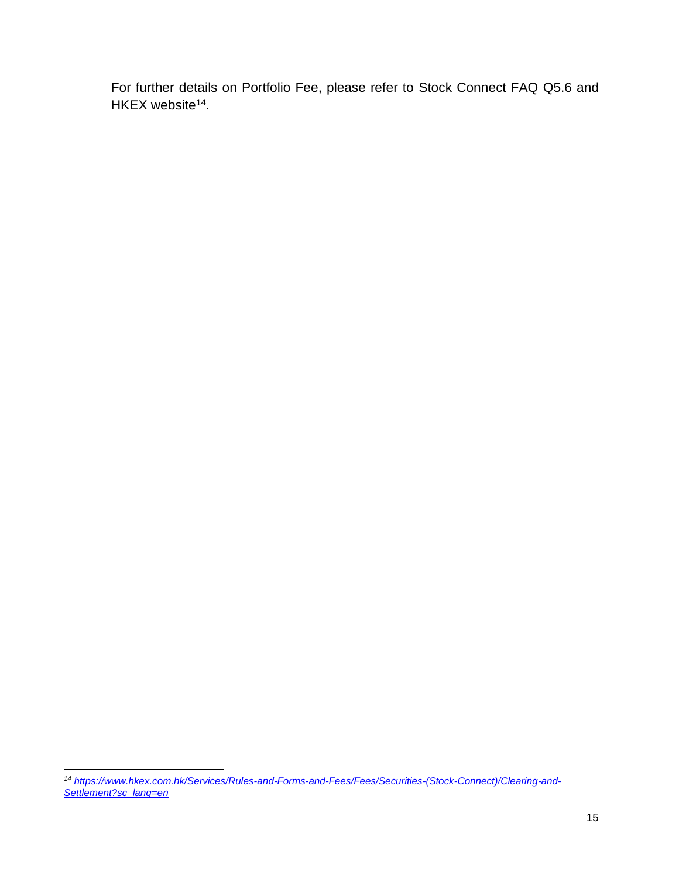For further details on Portfolio Fee, please refer to Stock Connect FAQ Q5.6 and HKEX website<sup>14</sup>.

 $\overline{a}$ *<sup>14</sup> [https://www.hkex.com.hk/Services/Rules-and-Forms-and-Fees/Fees/Securities-\(Stock-Connect\)/Clearing-and-](https://www.hkex.com.hk/Services/Rules-and-Forms-and-Fees/Fees/Securities-(Stock-Connect)/Clearing-and-Settlement?sc_lang=en)[Settlement?sc\\_lang=en](https://www.hkex.com.hk/Services/Rules-and-Forms-and-Fees/Fees/Securities-(Stock-Connect)/Clearing-and-Settlement?sc_lang=en)*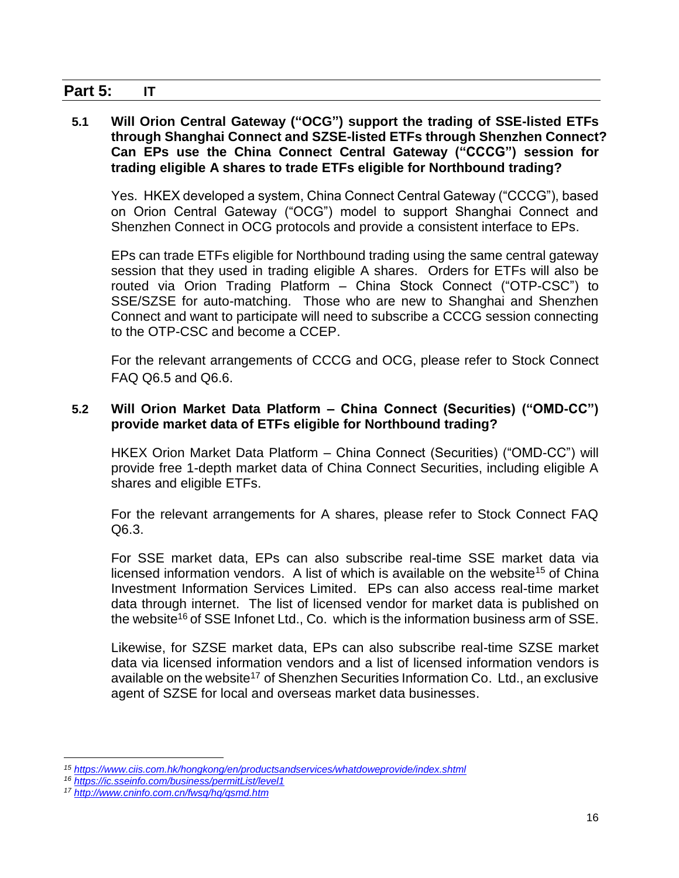# **Part 5: IT**

#### **5.1 Will Orion Central Gateway ("OCG") support the trading of SSE-listed ETFs through Shanghai Connect and SZSE-listed ETFs through Shenzhen Connect? Can EPs use the China Connect Central Gateway ("CCCG") session for trading eligible A shares to trade ETFs eligible for Northbound trading?**

Yes. HKEX developed a system, China Connect Central Gateway ("CCCG"), based on Orion Central Gateway ("OCG") model to support Shanghai Connect and Shenzhen Connect in OCG protocols and provide a consistent interface to EPs.

EPs can trade ETFs eligible for Northbound trading using the same central gateway session that they used in trading eligible A shares. Orders for ETFs will also be routed via Orion Trading Platform – China Stock Connect ("OTP-CSC") to SSE/SZSE for auto-matching. Those who are new to Shanghai and Shenzhen Connect and want to participate will need to subscribe a CCCG session connecting to the OTP-CSC and become a CCEP.

For the relevant arrangements of CCCG and OCG, please refer to Stock Connect FAQ Q6.5 and Q6.6.

#### **5.2 Will Orion Market Data Platform – China Connect (Securities) ("OMD-CC") provide market data of ETFs eligible for Northbound trading?**

HKEX Orion Market Data Platform – China Connect (Securities) ("OMD-CC") will provide free 1-depth market data of China Connect Securities, including eligible A shares and eligible ETFs.

For the relevant arrangements for A shares, please refer to Stock Connect FAQ Q6.3.

For SSE market data, EPs can also subscribe real-time SSE market data via licensed information vendors. A list of which is available on the website<sup>15</sup> of China Investment Information Services Limited. EPs can also access real-time market data through internet. The list of licensed vendor for market data is published on the website<sup>16</sup> of SSE Infonet Ltd., Co. which is the information business arm of SSE.

Likewise, for SZSE market data, EPs can also subscribe real-time SZSE market data via licensed information vendors and a list of licensed information vendors is available on the website<sup>17</sup> of Shenzhen Securities Information Co. Ltd., an exclusive agent of SZSE for local and overseas market data businesses.

 $\overline{a}$ *<sup>15</sup> <https://www.ciis.com.hk/hongkong/en/productsandservices/whatdoweprovide/index.shtml>*

*<sup>16</sup> <https://ic.sseinfo.com/business/permitList/level1>*

*<sup>17</sup> <http://www.cninfo.com.cn/fwsq/hq/qsmd.htm>*